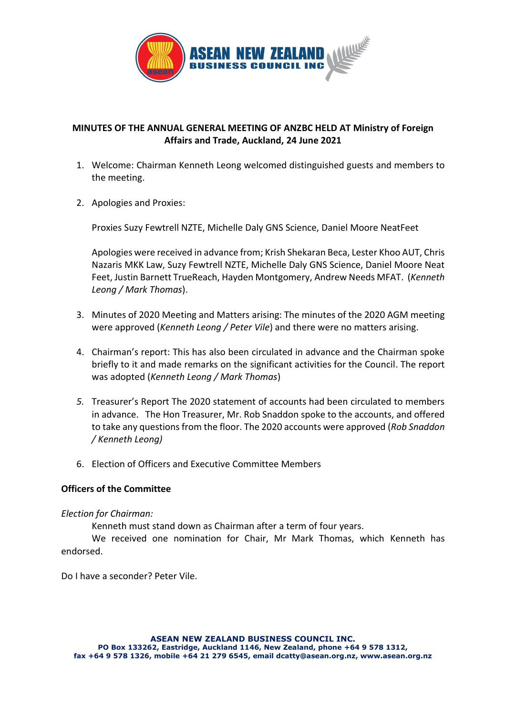

# **MINUTES OF THE ANNUAL GENERAL MEETING OF ANZBC HELD AT Ministry of Foreign Affairs and Trade, Auckland, 24 June 2021**

- 1. Welcome: Chairman Kenneth Leong welcomed distinguished guests and members to the meeting.
- 2. Apologies and Proxies:

Proxies Suzy Fewtrell NZTE, Michelle Daly GNS Science, Daniel Moore NeatFeet

Apologies were received in advance from; Krish Shekaran Beca, Lester Khoo AUT, Chris Nazaris MKK Law, Suzy Fewtrell NZTE, Michelle Daly GNS Science, Daniel Moore Neat Feet, Justin Barnett TrueReach, Hayden Montgomery, Andrew Needs MFAT. (*Kenneth Leong / Mark Thomas*).

- 3. Minutes of 2020 Meeting and Matters arising: The minutes of the 2020 AGM meeting were approved (*Kenneth Leong / Peter Vile*) and there were no matters arising.
- 4. Chairman's report: This has also been circulated in advance and the Chairman spoke briefly to it and made remarks on the significant activities for the Council. The report was adopted (*Kenneth Leong / Mark Thomas*)
- *5.* Treasurer's Report The 2020 statement of accounts had been circulated to members in advance. The Hon Treasurer, Mr. Rob Snaddon spoke to the accounts, and offered to take any questions from the floor. The 2020 accounts were approved (*Rob Snaddon / Kenneth Leong)*
- 6. Election of Officers and Executive Committee Members

## **Officers of the Committee**

## *Election for Chairman:*

Kenneth must stand down as Chairman after a term of four years.

We received one nomination for Chair, Mr Mark Thomas, which Kenneth has endorsed.

Do I have a seconder? Peter Vile.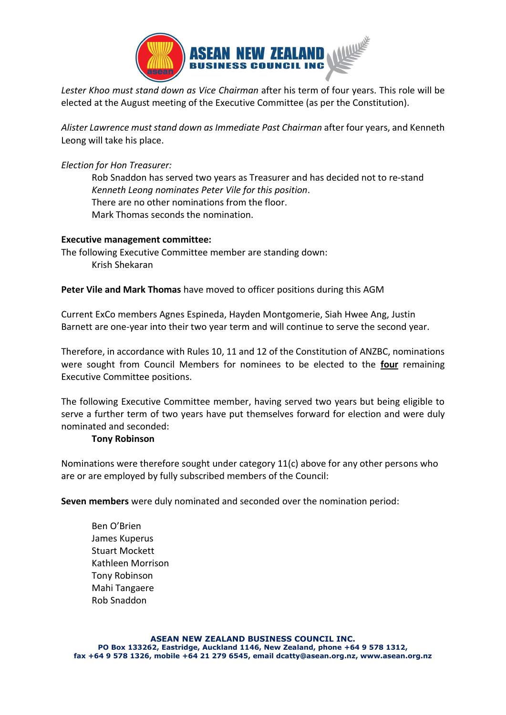

*Lester Khoo must stand down as Vice Chairman* after his term of four years. This role will be elected at the August meeting of the Executive Committee (as per the Constitution).

*Alister Lawrence must stand down as Immediate Past Chairman* after four years, and Kenneth Leong will take his place.

*Election for Hon Treasurer:*

Rob Snaddon has served two years as Treasurer and has decided not to re-stand *Kenneth Leong nominates Peter Vile for this position*. There are no other nominations from the floor. Mark Thomas seconds the nomination.

# **Executive management committee:**

The following Executive Committee member are standing down: Krish Shekaran

# **Peter Vile and Mark Thomas** have moved to officer positions during this AGM

Current ExCo members Agnes Espineda, Hayden Montgomerie, Siah Hwee Ang, Justin Barnett are one-year into their two year term and will continue to serve the second year.

Therefore, in accordance with Rules 10, 11 and 12 of the Constitution of ANZBC, nominations were sought from Council Members for nominees to be elected to the **four** remaining Executive Committee positions.

The following Executive Committee member, having served two years but being eligible to serve a further term of two years have put themselves forward for election and were duly nominated and seconded:

## **Tony Robinson**

Nominations were therefore sought under category 11(c) above for any other persons who are or are employed by fully subscribed members of the Council:

**Seven members** were duly nominated and seconded over the nomination period:

Ben O'Brien James Kuperus Stuart Mockett Kathleen Morrison Tony Robinson Mahi Tangaere Rob Snaddon